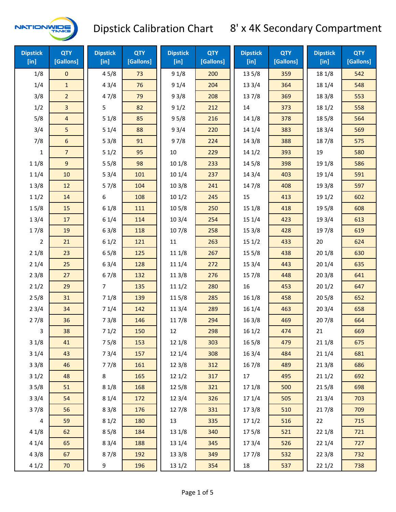

| <b>Dipstick</b><br>[in] | <b>QTY</b><br>[Gallons] | <b>Dipstick</b><br>[in] | <b>QTY</b><br>[Gallons] | <b>Dipstick</b><br>[in] | <b>QTY</b><br>[Gallons] | <b>Dipstick</b><br>[in] | <b>QTY</b><br>[Gallons] | <b>Dipstick</b><br>[in] | <b>QTY</b><br>[Gallons] |
|-------------------------|-------------------------|-------------------------|-------------------------|-------------------------|-------------------------|-------------------------|-------------------------|-------------------------|-------------------------|
| 1/8                     | $\mathbf{0}$            | 45/8                    | 73                      | 91/8                    | 200                     | 135/8                   | 359                     | 18 1/8                  | 542                     |
| 1/4                     | $\mathbf{1}$            | 43/4                    | 76                      | 91/4                    | 204                     | 133/4                   | 364                     | 18 1/4                  | 548                     |
| 3/8                     | $\overline{2}$          | 47/8                    | 79                      | 93/8                    | 208                     | 137/8                   | 369                     | 18 3/8                  | 553                     |
| 1/2                     | 3                       | 5                       | 82                      | 91/2                    | 212                     | 14                      | 373                     | 181/2                   | 558                     |
| 5/8                     | $\overline{4}$          | 51/8                    | 85                      | 95/8                    | 216                     | 14 1/8                  | 378                     | 185/8                   | 564                     |
| 3/4                     | 5                       | 51/4                    | 88                      | 93/4                    | 220                     | 14 1/4                  | 383                     | 18 3/4                  | 569                     |
| 7/8                     | 6                       | 53/8                    | 91                      | 97/8                    | 224                     | 14 3/8                  | 388                     | 187/8                   | 575                     |
| 1                       | $\overline{7}$          | 51/2                    | 95                      | 10                      | 229                     | 141/2                   | 393                     | 19                      | 580                     |
| 11/8                    | 9                       | 55/8                    | 98                      | 101/8                   | 233                     | 14 5/8                  | 398                     | 19 1/8                  | 586                     |
| 11/4                    | 10                      | 53/4                    | 101                     | 101/4                   | 237                     | 143/4                   | 403                     | 19 1/4                  | 591                     |
| 13/8                    | 12                      | 57/8                    | 104                     | 103/8                   | 241                     | 147/8                   | 408                     | 19 3/8                  | 597                     |
| 11/2                    | 14                      | 6                       | 108                     | 101/2                   | 245                     | 15                      | 413                     | 191/2                   | 602                     |
| 15/8                    | 15                      | 61/8                    | 111                     | 10 <sub>5</sub> /8      | 250                     | 15 1/8                  | 418                     | 195/8                   | 608                     |
| 13/4                    | 17                      | 61/4                    | 114                     | 103/4                   | 254                     | 151/4                   | 423                     | 19 3/4                  | 613                     |
| 17/8                    | 19                      | 63/8                    | 118                     | 107/8                   | 258                     | 15 3/8                  | 428                     | 197/8                   | 619                     |
| $\overline{2}$          | 21                      | 61/2                    | 121                     | 11                      | 263                     | 151/2                   | 433                     | 20                      | 624                     |
| 21/8                    | 23                      | 65/8                    | 125                     | 11 1/8                  | 267                     | 15 5/8                  | 438                     | 201/8                   | 630                     |
| 21/4                    | 25                      | 63/4                    | 128                     | 11 1/4                  | 272                     | 153/4                   | 443                     | 201/4                   | 635                     |
| 23/8                    | 27                      | 67/8                    | 132                     | 11 3/8                  | 276                     | 15 7/8                  | 448                     | 203/8                   | 641                     |
| 21/2                    | 29                      | $\overline{7}$          | 135                     | 111/2                   | 280                     | 16                      | 453                     | 201/2                   | 647                     |
| 25/8                    | 31                      | 71/8                    | 139                     | 115/8                   | 285                     | 16 1/8                  | 458                     | 205/8                   | 652                     |
| 23/4                    | 34                      | 71/4                    | 142                     | 11 3/4                  | 289                     | 16 1/4                  | 463                     | 203/4                   | 658                     |
| 27/8                    | 36                      | 73/8                    | 146                     | 11 7/8                  | 294                     | 163/8                   | 469                     | 207/8                   | 664                     |
| 3                       | 38                      | 71/2                    | 150                     | 12                      | 298                     | 161/2                   | 474                     | 21                      | 669                     |
| 31/8                    | 41                      | 75/8                    | 153                     | 12 1/8                  | 303                     | 16 5/8                  | 479                     | 21 1/8                  | 675                     |
| 31/4                    | 43                      | 73/4                    | 157                     | 12 1/4                  | 308                     | 163/4                   | 484                     | 211/4                   | 681                     |
| 33/8                    | 46                      | 77/8                    | 161                     | 12 3/8                  | 312                     | 16 7/8                  | 489                     | 213/8                   | 686                     |
| 31/2                    | 48                      | 8                       | 165                     | 121/2                   | 317                     | 17                      | 495                     | 211/2                   | 692                     |
| 35/8                    | 51                      | 81/8                    | 168                     | 125/8                   | 321                     | 17 1/8                  | 500                     | 215/8                   | 698                     |
| 33/4                    | 54                      | 81/4                    | 172                     | 12 3/4                  | 326                     | 17 1/4                  | 505                     | 213/4                   | 703                     |
| 37/8                    | 56                      | 83/8                    | 176                     | 12 7/8                  | 331                     | 17 3/8                  | 510                     | 217/8                   | 709                     |
| $\overline{4}$          | 59                      | 81/2                    | 180                     | 13                      | 335                     | 171/2                   | 516                     | 22                      | 715                     |
| 41/8                    | 62                      | 85/8                    | 184                     | 13 1/8                  | 340                     | 175/8                   | 521                     | 221/8                   | 721                     |
| 41/4                    | 65                      | 83/4                    | 188                     | 13 1/4                  | 345                     | 17 3/4                  | 526                     | 221/4                   | 727                     |
| 43/8                    | 67                      | 87/8                    | 192                     | 13 3/8                  | 349                     | 177/8                   | 532                     | 223/8                   | 732                     |
| 41/2                    | 70                      | 9                       | 196                     | 13 1/2                  | 354                     | 18                      | 537                     | 221/2                   | 738                     |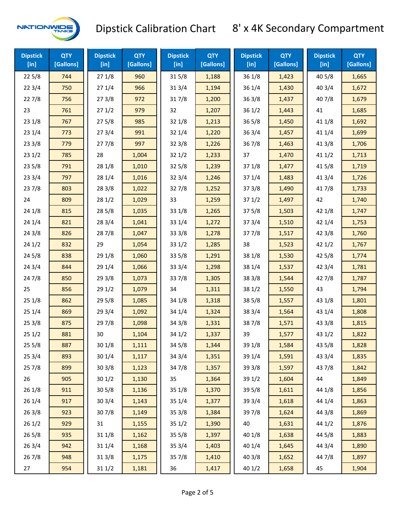

| <b>Dipstick</b><br>$[$ in] | <b>QTY</b><br>[Gallons] | <b>Dipstick</b><br>$[$ in] | <b>QTY</b><br>[Gallons] | <b>Dipstick</b><br>[in] | <b>QTY</b><br>[Gallons] | <b>Dipstick</b><br>$[$ in] | <b>QTY</b><br>[Gallons] | <b>Dipstick</b><br>[in] | <b>QTY</b><br>[Gallons] |
|----------------------------|-------------------------|----------------------------|-------------------------|-------------------------|-------------------------|----------------------------|-------------------------|-------------------------|-------------------------|
| 225/8                      | 744                     | 271/8                      | 960                     | 315/8                   | 1,188                   | 361/8                      | 1,423                   | 40 5/8                  | 1,665                   |
| 223/4                      | 750                     | 271/4                      | 966                     | 313/4                   | 1,194                   | 361/4                      | 1,430                   | 403/4                   | 1,672                   |
| 227/8                      | 756                     | 273/8                      | 972                     | 317/8                   | 1,200                   | 363/8                      | 1,437                   | 407/8                   | 1,679                   |
| 23                         | 761                     | 271/2                      | 979                     | 32                      | 1,207                   | 361/2                      | 1,443                   | 41                      | 1,685                   |
| 23 1/8                     | 767                     | 275/8                      | 985                     | 321/8                   | 1,213                   | $36\,5/8$                  | 1,450                   | 41 1/8                  | 1,692                   |
| 23 1/4                     | 773                     | 273/4                      | 991                     | 321/4                   | 1,220                   | 363/4                      | 1,457                   | 41 1/4                  | 1,699                   |
| 233/8                      | 779                     | 277/8                      | 997                     | 323/8                   | 1,226                   | 367/8                      | 1,463                   | 413/8                   | 1,706                   |
| 231/2                      | 785                     | 28                         | 1,004                   | 321/2                   | 1,233                   | 37                         | 1,470                   | 411/2                   | 1,713                   |
| 235/8                      | 791                     | 28 1/8                     | 1,010                   | $32\,5/8$               | 1,239                   | 371/8                      | 1,477                   | 41 5/8                  | 1,719                   |
| 233/4                      | 797                     | 28 1/4                     | 1,016                   | 323/4                   | 1,246                   | 37 1/4                     | 1,483                   | 413/4                   | 1,726                   |
| 237/8                      | 803                     | 28 3/8                     | 1,022                   | 327/8                   | 1,252                   | 373/8                      | 1,490                   | 417/8                   | 1,733                   |
| 24                         | 809                     | 281/2                      | 1,029                   | 33                      | 1,259                   | 371/2                      | 1,497                   | 42                      | 1,740                   |
| 24 1/8                     | 815                     | 285/8                      | 1,035                   | 331/8                   | 1,265                   | 375/8                      | 1,503                   | 42 1/8                  | 1,747                   |
| 24 1/4                     | 821                     | 283/4                      | 1,041                   | 33 1/4                  | 1,272                   | 373/4                      | 1,510                   | 42 1/4                  | 1,753                   |
| 243/8                      | 826                     | 287/8                      | 1,047                   | 333/8                   | 1,278                   | 377/8                      | 1,517                   | 42 3/8                  | 1,760                   |
| 241/2                      | 832                     | 29                         | 1,054                   | 331/2                   | 1,285                   | 38                         | 1,523                   | 421/2                   | 1,767                   |
| 245/8                      | 838                     | 29 1/8                     | 1,060                   | 335/8                   | 1,291                   | 38 1/8                     | 1,530                   | 42 5/8                  | 1,774                   |
| 243/4                      | 844                     | 29 1/4                     | 1,066                   | 33 3/4                  | 1,298                   | 38 1/4                     | 1,537                   | 42 3/4                  | 1,781                   |
| 24 7/8                     | 850                     | 293/8                      | 1,073                   | 337/8                   | 1,305                   | 38 3/8                     | 1,544                   | 42 7/8                  | 1,787                   |
| 25                         | 856                     | 291/2                      | 1,079                   | 34                      | 1,311                   | 381/2                      | 1,550                   | 43                      | 1,794                   |
| 251/8                      | 862                     | 295/8                      | 1,085                   | 34 1/8                  | 1,318                   | 385/8                      | 1,557                   | 43 1/8                  | 1,801                   |
| 251/4                      | 869                     | 29 3/4                     | 1,092                   | 34 1/4                  | 1,324                   | 38 3/4                     | 1,564                   | 43 1/4                  | 1,808                   |
| 253/8                      | 875                     | 29 7/8                     | 1,098                   | 34 3/8                  | 1,331                   | 387/8                      | 1,571                   | 43 3/8                  | 1,815                   |
| 251/2                      | 881                     | 30                         | 1,104                   | 341/2                   | 1,337                   | 39                         | 1,577                   | 431/2                   | 1,822                   |
| 255/8                      | 887                     | 301/8                      | 1,111                   | 345/8                   | 1,344                   | 39 1/8                     | 1,584                   | 43 5/8                  | 1,828                   |
| 25 3/4                     | 893                     | 30 1/4                     | 1,117                   | 34 3/4                  | 1,351                   | 39 1/4                     | 1,591                   | 43 3/4                  | 1,835                   |
| 257/8                      | 899                     | 303/8                      | 1,123                   | 347/8                   | 1,357                   | 39 3/8                     | 1,597                   | 437/8                   | 1,842                   |
| 26                         | 905                     | 301/2                      | 1,130                   | 35                      | 1,364                   | 39 1/2                     | 1,604                   | 44                      | 1,849                   |
| 26 1/8                     | 911                     | 305/8                      | 1,136                   | 35 1/8                  | 1,370                   | 39 5/8                     | 1,611                   | 44 1/8                  | 1,856                   |
| 26 1/4                     | 917                     | 303/4                      | 1,143                   | 35 1/4                  | 1,377                   | 39 3/4                     | 1,618                   | 44 1/4                  | 1,863                   |
| 263/8                      | 923                     | 307/8                      | 1,149                   | 353/8                   | 1,384                   | 397/8                      | 1,624                   | 44 3/8                  | 1,869                   |
| 261/2                      | 929                     | 31                         | 1,155                   | 351/2                   | 1,390                   | 40                         | 1,631                   | 44 1/2                  | 1,876                   |
| 265/8                      | 935                     | 31 1/8                     | 1,162                   | $35\,5/8$               | 1,397                   | 40 1/8                     | 1,638                   | 44 5/8                  | 1,883                   |
| 263/4                      | 942                     | 31 1/4                     | 1,168                   | 353/4                   | 1,403                   | 40 1/4                     | 1,645                   | 44 3/4                  | 1,890                   |
| 267/8                      | 948                     | 313/8                      | 1,175                   | 357/8                   | 1,410                   | 40 3/8                     | 1,652                   | 447/8                   | 1,897                   |
| 27                         | 954                     | 311/2                      | 1,181                   | 36                      | 1,417                   | 40 1/2                     | 1,658                   | 45                      | 1,904                   |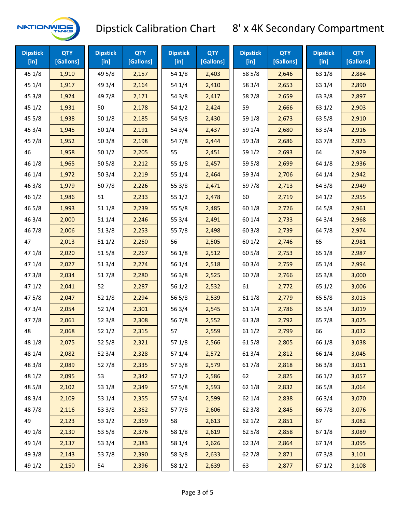

| <b>Dipstick</b><br>$[$ in] | <b>QTY</b><br>[Gallons] | <b>Dipstick</b><br>$[$ in] | <b>QTY</b><br>[Gallons] | <b>Dipstick</b><br>[in] | <b>QTY</b><br>[Gallons] | <b>Dipstick</b><br>$[$ in] | <b>QTY</b><br>[Gallons] | <b>Dipstick</b><br>$[$ in] | <b>QTY</b><br>[Gallons] |
|----------------------------|-------------------------|----------------------------|-------------------------|-------------------------|-------------------------|----------------------------|-------------------------|----------------------------|-------------------------|
| 45 1/8                     | 1,910                   | 49 5/8                     | 2,157                   | 54 1/8                  | 2,403                   | 58 5/8                     | 2,646                   | 63 1/8                     | 2,884                   |
| 45 1/4                     | 1,917                   | 49 3/4                     | 2,164                   | 54 1/4                  | 2,410                   | 58 3/4                     | 2,653                   | 63 1/4                     | 2,890                   |
| 45 3/8                     | 1,924                   | 49 7/8                     | 2,171                   | 54 3/8                  | 2,417                   | 587/8                      | 2,659                   | 63 3/8                     | 2,897                   |
| 451/2                      | 1,931                   | 50                         | 2,178                   | 54 1/2                  | 2,424                   | 59                         | 2,666                   | 63 1/2                     | 2,903                   |
| 45 5/8                     | 1,938                   | 50 1/8                     | 2,185                   | 54 5/8                  | 2,430                   | 59 1/8                     | 2,673                   | 63 5/8                     | 2,910                   |
| 45 3/4                     | 1,945                   | 50 1/4                     | 2,191                   | 54 3/4                  | 2,437                   | 59 1/4                     | 2,680                   | 63 3/4                     | 2,916                   |
| 45 7/8                     | 1,952                   | 503/8                      | 2,198                   | 54 7/8                  | 2,444                   | 59 3/8                     | 2,686                   | 637/8                      | 2,923                   |
| 46                         | 1,958                   | 501/2                      | 2,205                   | 55                      | 2,451                   | 59 1/2                     | 2,693                   | 64                         | 2,929                   |
| 46 1/8                     | 1,965                   | 505/8                      | 2,212                   | 55 1/8                  | 2,457                   | 59 5/8                     | 2,699                   | 64 1/8                     | 2,936                   |
| 46 1/4                     | 1,972                   | 503/4                      | 2,219                   | 55 1/4                  | 2,464                   | 59 3/4                     | 2,706                   | 64 1/4                     | 2,942                   |
| 46 3/8                     | 1,979                   | 507/8                      | 2,226                   | 55 3/8                  | 2,471                   | 597/8                      | 2,713                   | 64 3/8                     | 2,949                   |
| 46 1/2                     | 1,986                   | 51                         | 2,233                   | 551/2                   | 2,478                   | 60                         | 2,719                   | 64 1/2                     | 2,955                   |
| 46 5/8                     | 1,993                   | 511/8                      | 2,239                   | 55 5/8                  | 2,485                   | 60 1/8                     | 2,726                   | 64 5/8                     | 2,961                   |
| 46 3/4                     | 2,000                   | 51 1/4                     | 2,246                   | 55 3/4                  | 2,491                   | 60 1/4                     | 2,733                   | 64 3/4                     | 2,968                   |
| 46 7/8                     | 2,006                   | 513/8                      | 2,253                   | 55 7/8                  | 2,498                   | 60 3/8                     | 2,739                   | 64 7/8                     | 2,974                   |
| 47                         | 2,013                   | 511/2                      | 2,260                   | 56                      | 2,505                   | 601/2                      | 2,746                   | 65                         | 2,981                   |
| 47 1/8                     | 2,020                   | 515/8                      | 2,267                   | 56 1/8                  | 2,512                   | 605/8                      | 2,753                   | 65 1/8                     | 2,987                   |
| 47 1/4                     | 2,027                   | 513/4                      | 2,274                   | 56 1/4                  | 2,518                   | 60 3/4                     | 2,759                   | 65 1/4                     | 2,994                   |
| 47 3/8                     | 2,034                   | 517/8                      | 2,280                   | 563/8                   | 2,525                   | 607/8                      | 2,766                   | 65 3/8                     | 3,000                   |
| 471/2                      | 2,041                   | 52                         | 2,287                   | 56 1/2                  | 2,532                   | 61                         | 2,772                   | 65 1/2                     | 3,006                   |
| 475/8                      | 2,047                   | 52 1/8                     | 2,294                   | 56 5/8                  | 2,539                   | 61 1/8                     | 2,779                   | 65 5/8                     | 3,013                   |
| 473/4                      | 2,054                   | 52 1/4                     | 2,301                   | 56 3/4                  | 2,545                   | 611/4                      | 2,786                   | 65 3/4                     | 3,019                   |
| 477/8                      | 2,061                   | 523/8                      | 2,308                   | 567/8                   | 2,552                   | 61 3/8                     | 2,792                   | 65 7/8                     | 3,025                   |
| 48                         | 2,068                   | 521/2                      | 2,315                   | 57                      | 2,559                   | 611/2                      | 2,799                   | 66                         | 3,032                   |
| 48 1/8                     | 2,075                   | 525/8                      | 2,321                   | 57 1/8                  | 2,566                   | 615/8                      | 2,805                   | 66 1/8                     | 3,038                   |
| 48 1/4                     | 2,082                   | 52 3/4                     | 2,328                   | 57 1/4                  | 2,572                   | 613/4                      | 2,812                   | 66 1/4                     | 3,045                   |
| 48 3/8                     | 2,089                   | 527/8                      | 2,335                   | 57 3/8                  | 2,579                   | 617/8                      | 2,818                   | 66 3/8                     | 3,051                   |
| 48 1/2                     | 2,095                   | 53                         | 2,342                   | 571/2                   | 2,586                   | 62                         | 2,825                   | 66 1/2                     | 3,057                   |
| 48 5/8                     | 2,102                   | 53 1/8                     | 2,349                   | 57 5/8                  | 2,593                   | 62 1/8                     | 2,832                   | 66 5/8                     | 3,064                   |
| 48 3/4                     | 2,109                   | 53 1/4                     | 2,355                   | 573/4                   | 2,599                   | 62 1/4                     | 2,838                   | 66 3/4                     | 3,070                   |
| 487/8                      | 2,116                   | 53 3/8                     | 2,362                   | 577/8                   | 2,606                   | 62 3/8                     | 2,845                   | 667/8                      | 3,076                   |
| 49                         | 2,123                   | 53 1/2                     | 2,369                   | 58                      | 2,613                   | 621/2                      | 2,851                   | 67                         | 3,082                   |
| 49 1/8                     | 2,130                   | 53 5/8                     | 2,376                   | 58 1/8                  | 2,619                   | 62 5/8                     | 2,858                   | 671/8                      | 3,089                   |
| 49 1/4                     | 2,137                   | 53 3/4                     | 2,383                   | 58 1/4                  | 2,626                   | 62 3/4                     | 2,864                   | 671/4                      | 3,095                   |
| 49 3/8                     | 2,143                   | 537/8                      | 2,390                   | 58 3/8                  | 2,633                   | 627/8                      | 2,871                   | 673/8                      | 3,101                   |
| 49 1/2                     | 2,150                   | 54                         | 2,396                   | 58 1/2                  | 2,639                   | 63                         | 2,877                   | 67 1/2                     | 3,108                   |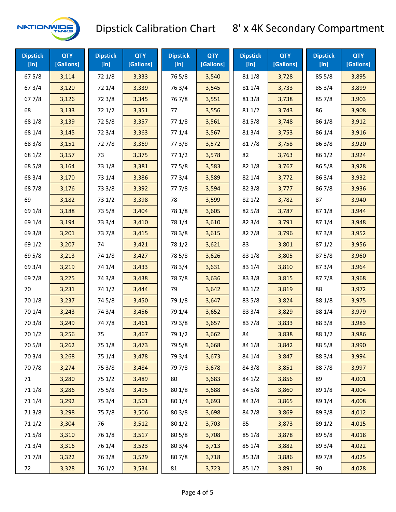

| <b>Dipstick</b><br>$[$ in] | <b>QTY</b><br>[Gallons] | <b>Dipstick</b><br>$[$ in] | <b>QTY</b><br>[Gallons] | <b>Dipstick</b><br>$[$ in] | <b>QTY</b><br>[Gallons] | <b>Dipstick</b><br>$[$ in] | <b>QTY</b><br>[Gallons] | <b>Dipstick</b><br>$[$ in] | <b>QTY</b><br>[Gallons] |
|----------------------------|-------------------------|----------------------------|-------------------------|----------------------------|-------------------------|----------------------------|-------------------------|----------------------------|-------------------------|
| 67 5/8                     | 3,114                   | 72 1/8                     | 3,333                   | 765/8                      | 3,540                   | 81 1/8                     | 3,728                   | 855/8                      | 3,895                   |
| 67 3/4                     | 3,120                   | 72 1/4                     | 3,339                   | 763/4                      | 3,545                   | 81 1/4                     | 3,733                   | 85 3/4                     | 3,899                   |
| 67 7/8                     | 3,126                   | 72 3/8                     | 3,345                   | 76 7/8                     | 3,551                   | 81 3/8                     | 3,738                   | 857/8                      | 3,903                   |
| 68                         | 3,133                   | 721/2                      | 3,351                   | 77                         | 3,556                   | 81 1/2                     | 3,743                   | 86                         | 3,908                   |
| 68 1/8                     | 3,139                   | 725/8                      | 3,357                   | 77 1/8                     | 3,561                   | 815/8                      | 3,748                   | 86 1/8                     | 3,912                   |
| 68 1/4                     | 3,145                   | 72 3/4                     | 3,363                   | 77 1/4                     | 3,567                   | 813/4                      | 3,753                   | 86 1/4                     | 3,916                   |
| 68 3/8                     | 3,151                   | 727/8                      | 3,369                   | 77 3/8                     | 3,572                   | 817/8                      | 3,758                   | 86 3/8                     | 3,920                   |
| 68 1/2                     | 3,157                   | 73                         | 3,375                   | 771/2                      | 3,578                   | 82                         | 3,763                   | 86 1/2                     | 3,924                   |
| 68 5/8                     | 3,164                   | 73 1/8                     | 3,381                   | 775/8                      | 3,583                   | 82 1/8                     | 3,767                   | 86 5/8                     | 3,928                   |
| 68 3/4                     | 3,170                   | 73 1/4                     | 3,386                   | 773/4                      | 3,589                   | 82 1/4                     | 3,772                   | 86 3/4                     | 3,932                   |
| 687/8                      | 3,176                   | 73 3/8                     | 3,392                   | 777/8                      | 3,594                   | 82 3/8                     | 3,777                   | 867/8                      | 3,936                   |
| 69                         | 3,182                   | 73 1/2                     | 3,398                   | 78                         | 3,599                   | 82 1/2                     | 3,782                   | 87                         | 3,940                   |
| 69 1/8                     | 3,188                   | 73 5/8                     | 3,404                   | 78 1/8                     | 3,605                   | 82 5/8                     | 3,787                   | 871/8                      | 3,944                   |
| 69 1/4                     | 3,194                   | 73 3/4                     | 3,410                   | 78 1/4                     | 3,610                   | 82 3/4                     | 3,791                   | 87 1/4                     | 3,948                   |
| 69 3/8                     | 3,201                   | 737/8                      | 3,415                   | 78 3/8                     | 3,615                   | 827/8                      | 3,796                   | 87 3/8                     | 3,952                   |
| 69 1/2                     | 3,207                   | 74                         | 3,421                   | 78 1/2                     | 3,621                   | 83                         | 3,801                   | 871/2                      | 3,956                   |
| 69 5/8                     | 3,213                   | 74 1/8                     | 3,427                   | 78 5/8                     | 3,626                   | 83 1/8                     | 3,805                   | 87 5/8                     | 3,960                   |
| 69 3/4                     | 3,219                   | 74 1/4                     | 3,433                   | 78 3/4                     | 3,631                   | 83 1/4                     | 3,810                   | 87 3/4                     | 3,964                   |
| 697/8                      | 3,225                   | 74 3/8                     | 3,438                   | 787/8                      | 3,636                   | 83 3/8                     | 3,815                   | 877/8                      | 3,968                   |
| 70                         | 3,231                   | 74 1/2                     | 3,444                   | 79                         | 3,642                   | 83 1/2                     | 3,819                   | 88                         | 3,972                   |
| 70 1/8                     | 3,237                   | 74 5/8                     | 3,450                   | 79 1/8                     | 3,647                   | 83 5/8                     | 3,824                   | 88 1/8                     | 3,975                   |
| 70 1/4                     | 3,243                   | 74 3/4                     | 3,456                   | 79 1/4                     | 3,652                   | 83 3/4                     | 3,829                   | 88 1/4                     | 3,979                   |
| 70 3/8                     | 3,249                   | 74 7/8                     | 3,461                   | 79 3/8                     | 3,657                   | 837/8                      | 3,833                   | 88 3/8                     | 3,983                   |
| 70 1/2                     | 3,256                   | 75                         | 3,467                   | 79 1/2                     | 3,662                   | 84                         | 3,838                   | 88 1/2                     | 3,986                   |
| 70 5/8                     | 3,262                   | 75 1/8                     | 3,473                   | 79 5/8                     | 3,668                   | 84 1/8                     | 3,842                   | 88 5/8                     | 3,990                   |
| 70 3/4                     | 3,268                   | 75 1/4                     | 3,478                   | 79 3/4                     | 3,673                   | 84 1/4                     | 3,847                   | 88 3/4                     | 3,994                   |
| 70 7/8                     | 3,274                   | 75 3/8                     | 3,484                   | 79 7/8                     | 3,678                   | 84 3/8                     | 3,851                   | 887/8                      | 3,997                   |
| 71                         | 3,280                   | 75 1/2                     | 3,489                   | 80                         | 3,683                   | 84 1/2                     | 3,856                   | 89                         | 4,001                   |
| 71 1/8                     | 3,286                   | 75 5/8                     | 3,495                   | 80 1/8                     | 3,688                   | 84 5/8                     | 3,860                   | 89 1/8                     | 4,004                   |
| 71 1/4                     | 3,292                   | 75 3/4                     | 3,501                   | 80 1/4                     | 3,693                   | 84 3/4                     | 3,865                   | 89 1/4                     | 4,008                   |
| 713/8                      | 3,298                   | 75 7/8                     | 3,506                   | 80 3/8                     | 3,698                   | 847/8                      | 3,869                   | 89 3/8                     | 4,012                   |
| 71 1/2                     | 3,304                   | 76                         | 3,512                   | 80 1/2                     | 3,703                   | 85                         | 3,873                   | 89 1/2                     | 4,015                   |
| 715/8                      | 3,310                   | 76 1/8                     | 3,517                   | 80 5/8                     | 3,708                   | 85 1/8                     | 3,878                   | 89 5/8                     | 4,018                   |
| 71 3/4                     | 3,316                   | 76 1/4                     | 3,523                   | 80 3/4                     | 3,713                   | 85 1/4                     | 3,882                   | 89 3/4                     | 4,022                   |
| 717/8                      | 3,322                   | 763/8                      | 3,529                   | 807/8                      | 3,718                   | 85 3/8                     | 3,886                   | 897/8                      | 4,025                   |
| 72                         | 3,328                   | 76 1/2                     | 3,534                   | 81                         | 3,723                   | 85 1/2                     | 3,891                   | 90                         | 4,028                   |